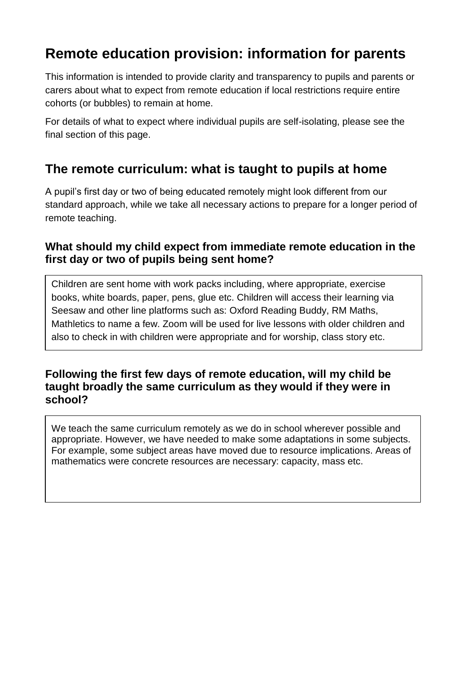# **Remote education provision: information for parents**

This information is intended to provide clarity and transparency to pupils and parents or carers about what to expect from remote education if local restrictions require entire cohorts (or bubbles) to remain at home.

For details of what to expect where individual pupils are self-isolating, please see the final section of this page.

## **The remote curriculum: what is taught to pupils at home**

A pupil's first day or two of being educated remotely might look different from our standard approach, while we take all necessary actions to prepare for a longer period of remote teaching.

#### **What should my child expect from immediate remote education in the first day or two of pupils being sent home?**

Children are sent home with work packs including, where appropriate, exercise books, white boards, paper, pens, glue etc. Children will access their learning via Seesaw and other line platforms such as: Oxford Reading Buddy, RM Maths, Mathletics to name a few. Zoom will be used for live lessons with older children and also to check in with children were appropriate and for worship, class story etc.

#### **Following the first few days of remote education, will my child be taught broadly the same curriculum as they would if they were in school?**

We teach the same curriculum remotely as we do in school wherever possible and appropriate. However, we have needed to make some adaptations in some subjects. For example, some subject areas have moved due to resource implications. Areas of mathematics were concrete resources are necessary: capacity, mass etc.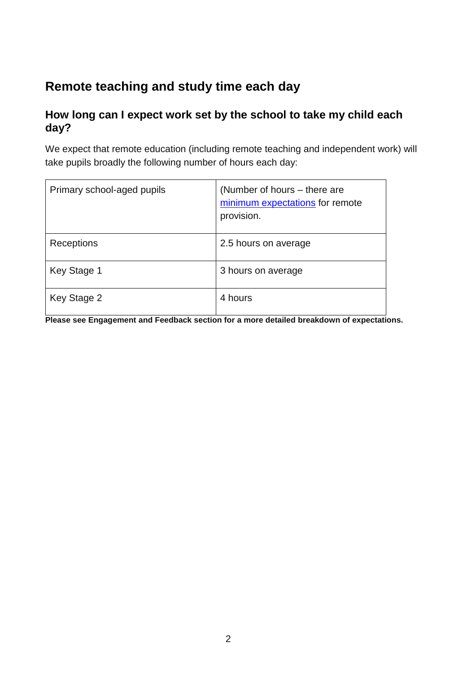# **Remote teaching and study time each day**

#### **How long can I expect work set by the school to take my child each day?**

We expect that remote education (including remote teaching and independent work) will take pupils broadly the following number of hours each day:

| Primary school-aged pupils | (Number of hours – there are<br>minimum expectations for remote<br>provision. |
|----------------------------|-------------------------------------------------------------------------------|
| Receptions                 | 2.5 hours on average                                                          |
| Key Stage 1                | 3 hours on average                                                            |
| Key Stage 2                | 4 hours                                                                       |

**Please see Engagement and Feedback section for a more detailed breakdown of expectations.**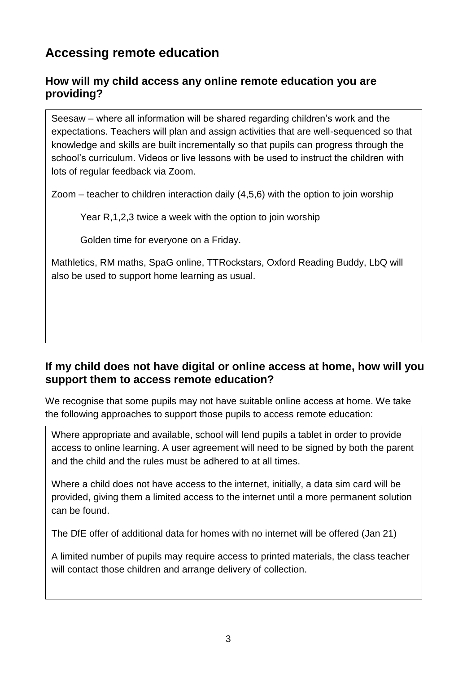# **Accessing remote education**

#### **How will my child access any online remote education you are providing?**

Seesaw – where all information will be shared regarding children's work and the expectations. Teachers will plan and assign activities that are well-sequenced so that knowledge and skills are built incrementally so that pupils can progress through the school's curriculum. Videos or live lessons with be used to instruct the children with lots of regular feedback via Zoom.

Zoom – teacher to children interaction daily (4,5,6) with the option to join worship

Year R,1,2,3 twice a week with the option to join worship

Golden time for everyone on a Friday.

Mathletics, RM maths, SpaG online, TTRockstars, Oxford Reading Buddy, LbQ will also be used to support home learning as usual.

#### **If my child does not have digital or online access at home, how will you support them to access remote education?**

We recognise that some pupils may not have suitable online access at home. We take the following approaches to support those pupils to access remote education:

Where appropriate and available, school will lend pupils a tablet in order to provide access to online learning. A user agreement will need to be signed by both the parent and the child and the rules must be adhered to at all times.

Where a child does not have access to the internet, initially, a data sim card will be provided, giving them a limited access to the internet until a more permanent solution can be found.

The DfE offer of additional data for homes with no internet will be offered (Jan 21)

A limited number of pupils may require access to printed materials, the class teacher will contact those children and arrange delivery of collection.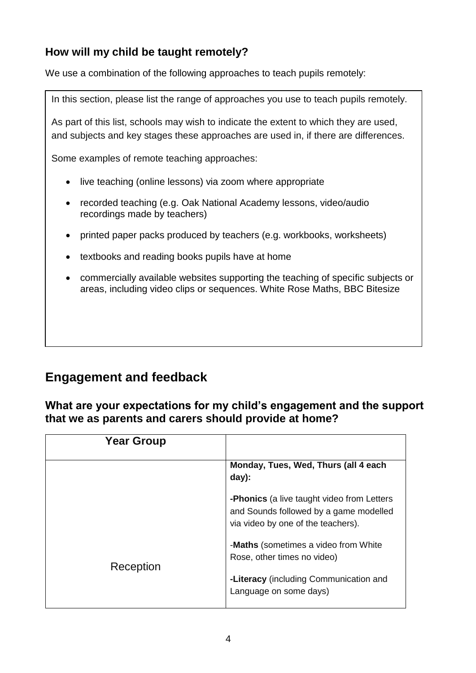## **How will my child be taught remotely?**

We use a combination of the following approaches to teach pupils remotely:

In this section, please list the range of approaches you use to teach pupils remotely.

As part of this list, schools may wish to indicate the extent to which they are used, and subjects and key stages these approaches are used in, if there are differences.

Some examples of remote teaching approaches:

- live teaching (online lessons) via zoom where appropriate
- recorded teaching (e.g. Oak National Academy lessons, video/audio recordings made by teachers)
- printed paper packs produced by teachers (e.g. workbooks, worksheets)
- textbooks and reading books pupils have at home
- commercially available websites supporting the teaching of specific subjects or areas, including video clips or sequences. White Rose Maths, BBC Bitesize

## **Engagement and feedback**

**What are your expectations for my child's engagement and the support that we as parents and carers should provide at home?**

| <b>Year Group</b> |                                                                                                                                   |
|-------------------|-----------------------------------------------------------------------------------------------------------------------------------|
|                   | Monday, Tues, Wed, Thurs (all 4 each<br>$day)$ :                                                                                  |
|                   | <b>-Phonics</b> (a live taught video from Letters<br>and Sounds followed by a game modelled<br>via video by one of the teachers). |
| Reception         | -Maths (sometimes a video from White<br>Rose, other times no video)                                                               |
|                   | -Literacy (including Communication and<br>Language on some days)                                                                  |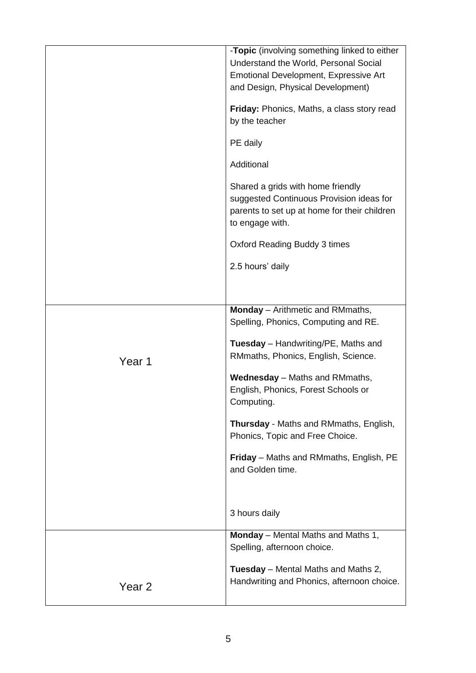|                   | -Topic (involving something linked to either  |
|-------------------|-----------------------------------------------|
|                   | Understand the World, Personal Social         |
|                   | Emotional Development, Expressive Art         |
|                   | and Design, Physical Development)             |
|                   |                                               |
|                   | Friday: Phonics, Maths, a class story read    |
|                   | by the teacher                                |
|                   |                                               |
|                   | PE daily                                      |
|                   |                                               |
|                   | Additional                                    |
|                   | Shared a grids with home friendly             |
|                   | suggested Continuous Provision ideas for      |
|                   |                                               |
|                   | parents to set up at home for their children  |
|                   | to engage with.                               |
|                   | <b>Oxford Reading Buddy 3 times</b>           |
|                   | 2.5 hours' daily                              |
|                   |                                               |
|                   |                                               |
|                   | Monday - Arithmetic and RMmaths,              |
|                   | Spelling, Phonics, Computing and RE.          |
|                   |                                               |
|                   | <b>Tuesday</b> – Handwriting/PE, Maths and    |
|                   | RMmaths, Phonics, English, Science.           |
| Year 1            |                                               |
|                   | <b>Wednesday</b> – Maths and RMmaths,         |
|                   | English, Phonics, Forest Schools or           |
|                   | Computing.                                    |
|                   |                                               |
|                   | <b>Thursday</b> - Maths and RMmaths, English, |
|                   | Phonics, Topic and Free Choice.               |
|                   |                                               |
|                   | Friday - Maths and RMmaths, English, PE       |
|                   | and Golden time.                              |
|                   |                                               |
|                   |                                               |
|                   |                                               |
|                   | 3 hours daily                                 |
|                   | <b>Monday</b> – Mental Maths and Maths 1,     |
|                   | Spelling, afternoon choice.                   |
|                   |                                               |
|                   | <b>Tuesday</b> – Mental Maths and Maths 2,    |
|                   | Handwriting and Phonics, afternoon choice.    |
| Year <sub>2</sub> |                                               |
|                   |                                               |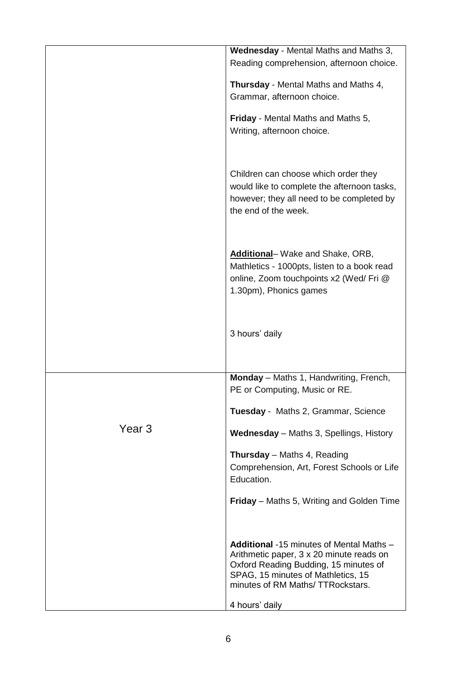|        | Wednesday - Mental Maths and Maths 3,<br>Reading comprehension, afternoon choice.                                                                                                                                                |
|--------|----------------------------------------------------------------------------------------------------------------------------------------------------------------------------------------------------------------------------------|
|        | <b>Thursday</b> - Mental Maths and Maths 4,<br>Grammar, afternoon choice.                                                                                                                                                        |
|        | <b>Friday</b> - Mental Maths and Maths 5,<br>Writing, afternoon choice.                                                                                                                                                          |
|        | Children can choose which order they<br>would like to complete the afternoon tasks,<br>however; they all need to be completed by<br>the end of the week.                                                                         |
|        | Additional-Wake and Shake, ORB,<br>Mathletics - 1000pts, listen to a book read<br>online, Zoom touchpoints x2 (Wed/ Fri @<br>1.30pm), Phonics games                                                                              |
|        | 3 hours' daily                                                                                                                                                                                                                   |
|        | Monday - Maths 1, Handwriting, French,<br>PE or Computing, Music or RE.                                                                                                                                                          |
|        | Tuesday - Maths 2, Grammar, Science                                                                                                                                                                                              |
| Year 3 | <b>Wednesday</b> - Maths 3, Spellings, History                                                                                                                                                                                   |
|        | <b>Thursday</b> - Maths 4, Reading<br>Comprehension, Art, Forest Schools or Life<br>Education.                                                                                                                                   |
|        | <b>Friday</b> – Maths 5, Writing and Golden Time                                                                                                                                                                                 |
|        | <b>Additional</b> -15 minutes of Mental Maths –<br>Arithmetic paper, 3 x 20 minute reads on<br>Oxford Reading Budding, 15 minutes of<br>SPAG, 15 minutes of Mathletics, 15<br>minutes of RM Maths/TTRockstars.<br>4 hours' daily |
|        |                                                                                                                                                                                                                                  |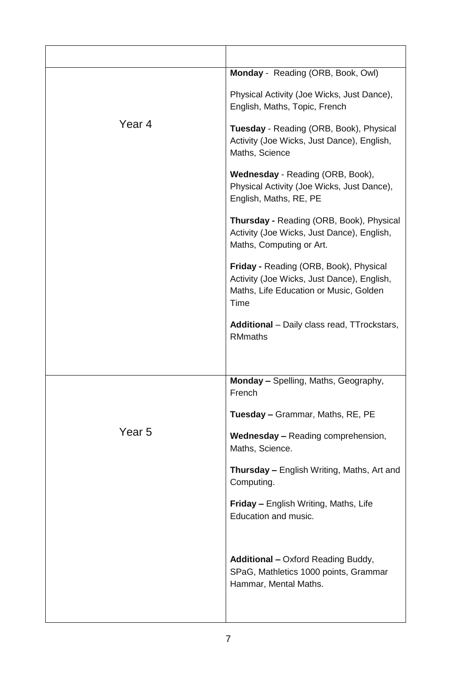|        | Monday - Reading (ORB, Book, Owl)                                                                                                             |
|--------|-----------------------------------------------------------------------------------------------------------------------------------------------|
| Year 4 | Physical Activity (Joe Wicks, Just Dance),<br>English, Maths, Topic, French                                                                   |
|        | Tuesday - Reading (ORB, Book), Physical<br>Activity (Joe Wicks, Just Dance), English,<br>Maths, Science                                       |
|        | Wednesday - Reading (ORB, Book),<br>Physical Activity (Joe Wicks, Just Dance),<br>English, Maths, RE, PE                                      |
|        | <b>Thursday - Reading (ORB, Book), Physical</b><br>Activity (Joe Wicks, Just Dance), English,<br>Maths, Computing or Art.                     |
|        | <b>Friday - Reading (ORB, Book), Physical</b><br>Activity (Joe Wicks, Just Dance), English,<br>Maths, Life Education or Music, Golden<br>Time |
|        | <b>Additional</b> – Daily class read, TTrockstars,<br><b>RMmaths</b>                                                                          |
|        | Monday - Spelling, Maths, Geography,                                                                                                          |
|        | French                                                                                                                                        |
|        | Tuesday - Grammar, Maths, RE, PE                                                                                                              |
| Year 5 | <b>Wednesday - Reading comprehension,</b><br>Maths, Science.                                                                                  |
|        | Thursday - English Writing, Maths, Art and<br>Computing.                                                                                      |
|        | <b>Friday - English Writing, Maths, Life</b><br>Education and music.                                                                          |
|        | <b>Additional - Oxford Reading Buddy,</b><br>SPaG, Mathletics 1000 points, Grammar<br>Hammar, Mental Maths.                                   |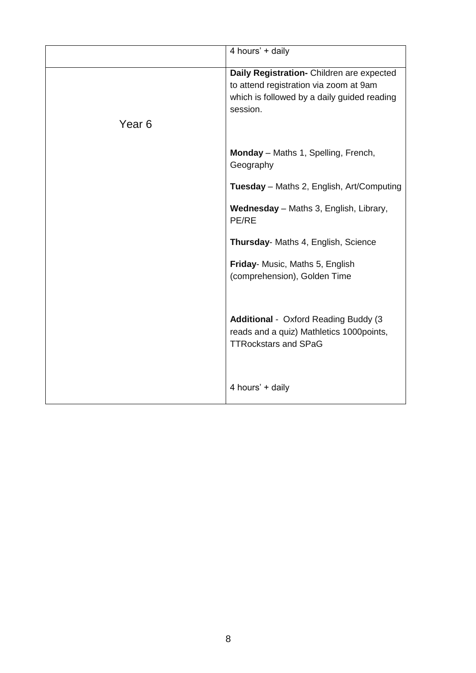|                   | 4 hours' + daily                                 |
|-------------------|--------------------------------------------------|
|                   |                                                  |
|                   | Daily Registration- Children are expected        |
|                   |                                                  |
|                   | to attend registration via zoom at 9am           |
|                   | which is followed by a daily guided reading      |
|                   | session.                                         |
| Year <sub>6</sub> |                                                  |
|                   |                                                  |
|                   |                                                  |
|                   | Monday - Maths 1, Spelling, French,              |
|                   | Geography                                        |
|                   |                                                  |
|                   | <b>Tuesday</b> – Maths 2, English, Art/Computing |
|                   |                                                  |
|                   | <b>Wednesday</b> - Maths 3, English, Library,    |
|                   | PE/RE                                            |
|                   |                                                  |
|                   |                                                  |
|                   | Thursday- Maths 4, English, Science              |
|                   | Friday- Music, Maths 5, English                  |
|                   |                                                  |
|                   | (comprehension), Golden Time                     |
|                   |                                                  |
|                   |                                                  |
|                   |                                                  |
|                   | <b>Additional</b> - Oxford Reading Buddy (3)     |
|                   | reads and a quiz) Mathletics 1000points,         |
|                   | <b>TTRockstars and SPaG</b>                      |
|                   |                                                  |
|                   |                                                  |
|                   |                                                  |
|                   | 4 hours' + daily                                 |
|                   |                                                  |
|                   |                                                  |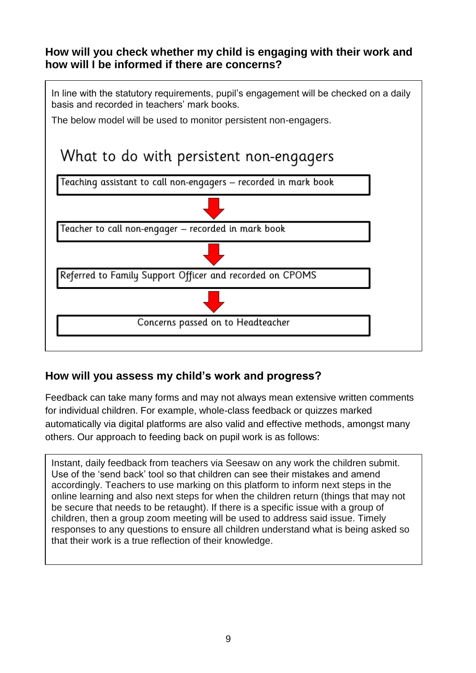#### **How will you check whether my child is engaging with their work and how will I be informed if there are concerns?**

In line with the statutory requirements, pupil's engagement will be checked on a daily basis and recorded in teachers' mark books.

The below model will be used to monitor persistent non-engagers.

# What to do with persistent non-engagers



### **How will you assess my child's work and progress?**

Feedback can take many forms and may not always mean extensive written comments for individual children. For example, whole-class feedback or quizzes marked automatically via digital platforms are also valid and effective methods, amongst many others. Our approach to feeding back on pupil work is as follows:

Instant, daily feedback from teachers via Seesaw on any work the children submit. Use of the 'send back' tool so that children can see their mistakes and amend accordingly. Teachers to use marking on this platform to inform next steps in the online learning and also next steps for when the children return (things that may not be secure that needs to be retaught). If there is a specific issue with a group of children, then a group zoom meeting will be used to address said issue. Timely responses to any questions to ensure all children understand what is being asked so that their work is a true reflection of their knowledge.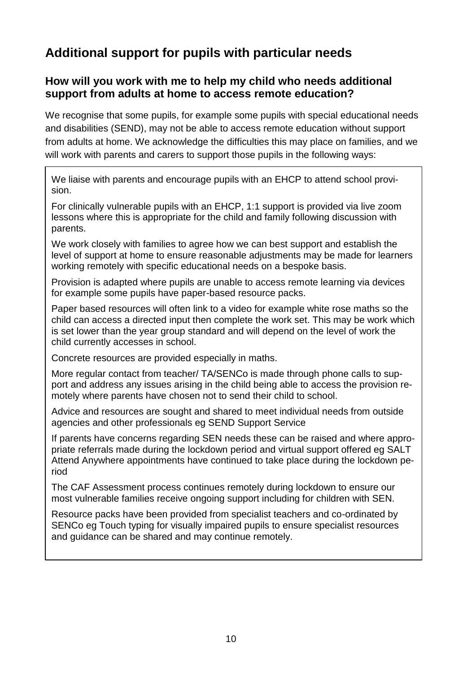# **Additional support for pupils with particular needs**

#### **How will you work with me to help my child who needs additional support from adults at home to access remote education?**

We recognise that some pupils, for example some pupils with special educational needs and disabilities (SEND), may not be able to access remote education without support from adults at home. We acknowledge the difficulties this may place on families, and we will work with parents and carers to support those pupils in the following ways:

We liaise with parents and encourage pupils with an EHCP to attend school provision.

For clinically vulnerable pupils with an EHCP, 1:1 support is provided via live zoom lessons where this is appropriate for the child and family following discussion with parents.

We work closely with families to agree how we can best support and establish the level of support at home to ensure reasonable adjustments may be made for learners working remotely with specific educational needs on a bespoke basis.

Provision is adapted where pupils are unable to access remote learning via devices for example some pupils have paper-based resource packs.

Paper based resources will often link to a video for example white rose maths so the child can access a directed input then complete the work set. This may be work which is set lower than the year group standard and will depend on the level of work the child currently accesses in school.

Concrete resources are provided especially in maths.

More regular contact from teacher/ TA/SENCo is made through phone calls to support and address any issues arising in the child being able to access the provision remotely where parents have chosen not to send their child to school.

Advice and resources are sought and shared to meet individual needs from outside agencies and other professionals eg SEND Support Service

If parents have concerns regarding SEN needs these can be raised and where appropriate referrals made during the lockdown period and virtual support offered eg SALT Attend Anywhere appointments have continued to take place during the lockdown period

The CAF Assessment process continues remotely during lockdown to ensure our most vulnerable families receive ongoing support including for children with SEN.

Resource packs have been provided from specialist teachers and co-ordinated by SENCo eg Touch typing for visually impaired pupils to ensure specialist resources and guidance can be shared and may continue remotely.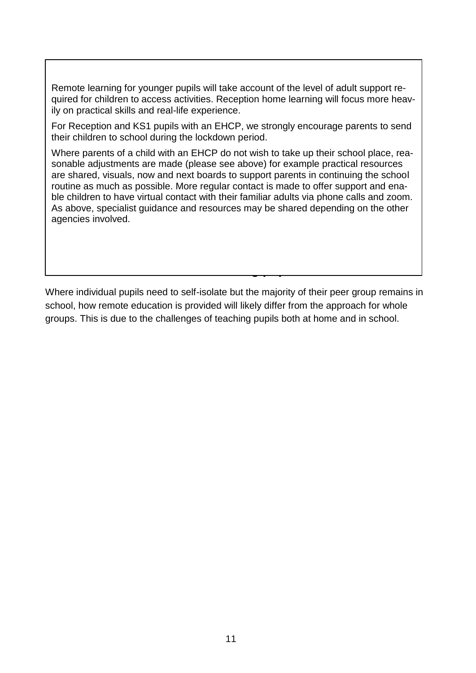Remote learning for younger pupils will take account of the level of adult support required for children to access activities. Reception home learning will focus more heavily on practical skills and real-life experience.

For Reception and KS1 pupils with an EHCP, we strongly encourage parents to send their children to school during the lockdown period.

Where parents of a child with an EHCP do not wish to take up their school place, reasonable adjustments are made (please see above) for example practical resources are shared, visuals, now and next boards to support parents in continuing the school routine as much as possible. More regular contact is made to offer support and enable children to have virtual contact with their familiar adults via phone calls and zoom. As above, specialist guidance and resources may be shared depending on the other agencies involved.

Where individual pupils need to self-isolate but the majority of their peer group remains in school, how remote education is provided will likely differ from the approach for whole groups. This is due to the challenges of teaching pupils both at home and in school.

**Remote education for self-isolating pupils**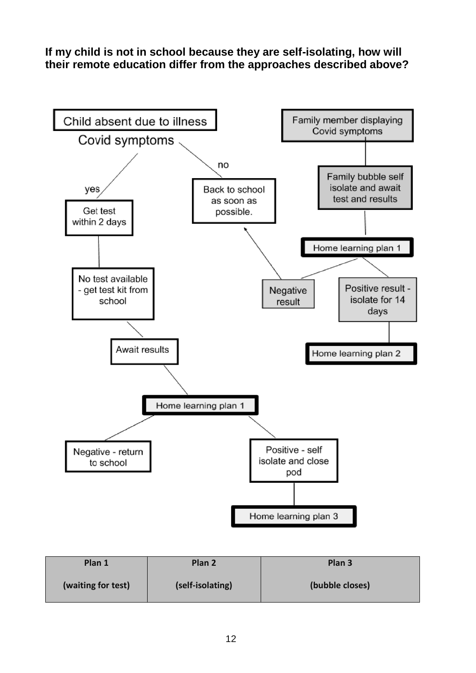**If my child is not in school because they are self-isolating, how will their remote education differ from the approaches described above?** 

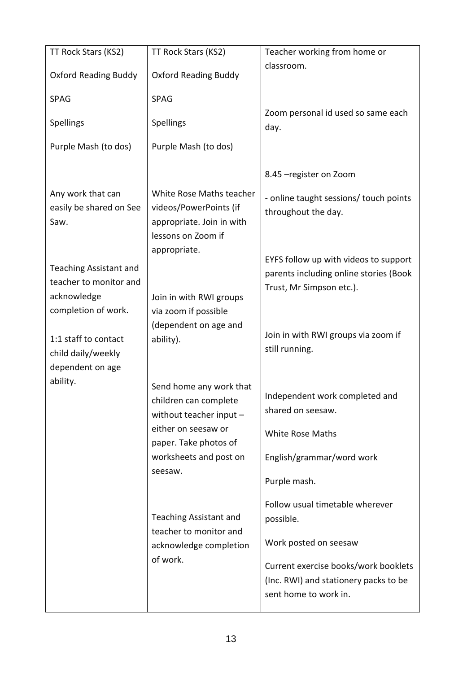| TT Rock Stars (KS2)                                                                           | TT Rock Stars (KS2)                                                                                   | Teacher working from home or                                                                                                                                                    |
|-----------------------------------------------------------------------------------------------|-------------------------------------------------------------------------------------------------------|---------------------------------------------------------------------------------------------------------------------------------------------------------------------------------|
| <b>Oxford Reading Buddy</b>                                                                   | <b>Oxford Reading Buddy</b>                                                                           | classroom.                                                                                                                                                                      |
| <b>SPAG</b>                                                                                   | <b>SPAG</b>                                                                                           |                                                                                                                                                                                 |
| Spellings                                                                                     | Spellings                                                                                             | Zoom personal id used so same each<br>day.                                                                                                                                      |
| Purple Mash (to dos)                                                                          | Purple Mash (to dos)                                                                                  |                                                                                                                                                                                 |
|                                                                                               |                                                                                                       | 8.45 - register on Zoom                                                                                                                                                         |
| Any work that can<br>easily be shared on See<br>Saw.                                          | White Rose Maths teacher<br>videos/PowerPoints (if<br>appropriate. Join in with<br>lessons on Zoom if | - online taught sessions/ touch points<br>throughout the day.                                                                                                                   |
| <b>Teaching Assistant and</b><br>teacher to monitor and<br>acknowledge<br>completion of work. | appropriate.<br>Join in with RWI groups<br>via zoom if possible                                       | EYFS follow up with videos to support<br>parents including online stories (Book<br>Trust, Mr Simpson etc.).                                                                     |
| 1:1 staff to contact<br>child daily/weekly<br>dependent on age                                | (dependent on age and<br>ability).                                                                    | Join in with RWI groups via zoom if<br>still running.                                                                                                                           |
| ability.                                                                                      | Send home any work that<br>children can complete<br>without teacher input -<br>either on seesaw or    | Independent work completed and<br>shared on seesaw.<br><b>White Rose Maths</b>                                                                                                  |
|                                                                                               | paper. Take photos of<br>worksheets and post on                                                       | English/grammar/word work                                                                                                                                                       |
|                                                                                               | seesaw.                                                                                               | Purple mash.                                                                                                                                                                    |
|                                                                                               | <b>Teaching Assistant and</b><br>teacher to monitor and<br>acknowledge completion<br>of work.         | Follow usual timetable wherever<br>possible.<br>Work posted on seesaw<br>Current exercise books/work booklets<br>(Inc. RWI) and stationery packs to be<br>sent home to work in. |